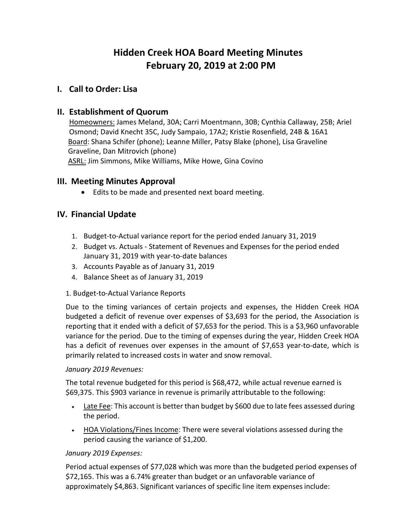# **Hidden Creek HOA Board Meeting Minutes February 20, 2019 at 2:00 PM**

# **I. Call to Order: Lisa**

# **II. Establishment of Quorum**

Homeowners: James Meland, 30A; Carri Moentmann, 30B; Cynthia Callaway, 25B; Ariel Osmond; David Knecht 35C, Judy Sampaio, 17A2; Kristie Rosenfield, 24B & 16A1 Board: Shana Schifer (phone); Leanne Miller, Patsy Blake (phone), Lisa Graveline Graveline, Dan Mitrovich (phone) ASRL: Jim Simmons, Mike Williams, Mike Howe, Gina Covino

## **III. Meeting Minutes Approval**

• Edits to be made and presented next board meeting.

# **IV. Financial Update**

- 1. Budget-to-Actual variance report for the period ended January 31, 2019
- 2. Budget vs. Actuals Statement of Revenues and Expenses for the period ended January 31, 2019 with year-to-date balances
- 3. Accounts Payable as of January 31, 2019
- 4. Balance Sheet as of January 31, 2019

#### 1. Budget-to-Actual Variance Reports

Due to the timing variances of certain projects and expenses, the Hidden Creek HOA budgeted a deficit of revenue over expenses of \$3,693 for the period, the Association is reporting that it ended with a deficit of \$7,653 for the period. This is a \$3,960 unfavorable variance for the period. Due to the timing of expenses during the year, Hidden Creek HOA has a deficit of revenues over expenses in the amount of \$7,653 year-to-date, which is primarily related to increased costs in water and snow removal.

#### *January 2019 Revenues:*

The total revenue budgeted for this period is \$68,472, while actual revenue earned is \$69,375. This \$903 variance in revenue is primarily attributable to the following:

- Late Fee: This account is better than budget by \$600 due to late fees assessed during the period.
- HOA Violations/Fines Income: There were several violations assessed during the period causing the variance of \$1,200.

#### *January 2019 Expenses:*

Period actual expenses of \$77,028 which was more than the budgeted period expenses of \$72,165. This was a 6.74% greater than budget or an unfavorable variance of approximately \$4,863. Significant variances of specific line item expensesinclude: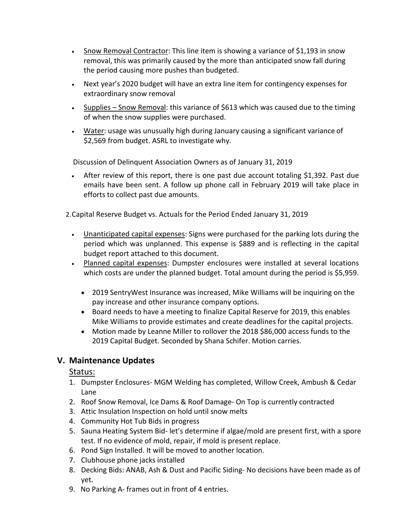- Snow Removal Contractor: This line item is showing a variance of \$1,193 in snow removal, this was primarily caused by the more than anticipated snow fall during the period causing more pushes than budgeted.
- Next year's 2020 budget will have an extra line item for contingency expenses for extraordinary snow removal
- Supplies Snow Removal: this variance of \$613 which was caused due to the timing of when the snow supplies were purchased.
- Water: usage was unusually high during January causing a significant variance of \$2,569 from budget. ASRL to investigate why.

Discussion of Delinquent Association Owners as of January 31, 2019

• After review of this report, there is one past due account totaling \$1,392. Past due emails have been sent. A follow up phone call in February 2019 will take place in efforts to collect past due amounts.

2.Capital Reserve Budget vs. Actuals for the Period Ended January 31, 2019

- Unanticipated capital expenses: Signs were purchased for the parking lots during the period which was unplanned. This expense is \$889 and is reflecting in the capital budget report attached to this document.
- Planned capital expenses: Dumpster enclosures were installed at several locations which costs are under the planned budget. Total amount during the period is \$5,959.
	- 2019 SentryWest Insurance was increased, Mike Williams will be inquiring on the pay increase and other insurance company options.
	- Board needs to have a meeting to finalize Capital Reserve for 2019, this enables Mike Williams to provide estimates and create deadlines for the capital projects.
	- Motion made by Leanne Miller to rollover the 2018 \$86,000 access funds to the 2019 Capital Budget. Seconded by Shana Schifer. Motion carries.

# **V. Maintenance Updates**

Status:

- 1. Dumpster Enclosures- MGM Welding has completed, Willow Creek, Ambush & Cedar Lane
- 2. Roof Snow Removal, Ice Dams & Roof Damage- On Top is currently contracted
- 3. Attic Insulation Inspection on hold until snow melts
- 4. Community Hot Tub Bids in progress
- 5. Sauna Heating System Bid- let's determine if algae/mold are present first, with a spore test. If no evidence of mold, repair, if mold is present replace.
- 6. Pond Sign Installed. It will be moved to another location.
- 7. Clubhouse phone jacks installed
- 8. Decking Bids: ANAB, Ash & Dust and Pacific Siding- No decisions have been made as of yet.
- 9. No Parking A- frames out in front of 4 entries.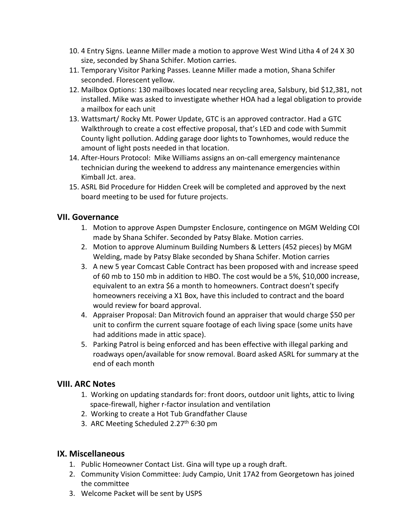- 10. 4 Entry Signs. Leanne Miller made a motion to approve West Wind Litha 4 of 24 X 30 size, seconded by Shana Schifer. Motion carries.
- 11. Temporary Visitor Parking Passes. Leanne Miller made a motion, Shana Schifer seconded. Florescent yellow.
- 12. Mailbox Options: 130 mailboxes located near recycling area, Salsbury, bid \$12,381, not installed. Mike was asked to investigate whether HOA had a legal obligation to provide a mailbox for each unit
- 13. Wattsmart/ Rocky Mt. Power Update, GTC is an approved contractor. Had a GTC Walkthrough to create a cost effective proposal, that's LED and code with Summit County light pollution. Adding garage door lights to Townhomes, would reduce the amount of light posts needed in that location.
- 14. After-Hours Protocol: Mike Williams assigns an on-call emergency maintenance technician during the weekend to address any maintenance emergencies within Kimball Jct. area.
- 15. ASRL Bid Procedure for Hidden Creek will be completed and approved by the next board meeting to be used for future projects.

## **VII. Governance**

- 1. Motion to approve Aspen Dumpster Enclosure, contingence on MGM Welding COI made by Shana Schifer. Seconded by Patsy Blake. Motion carries.
- 2. Motion to approve Aluminum Building Numbers & Letters (452 pieces) by MGM Welding, made by Patsy Blake seconded by Shana Schifer. Motion carries
- 3. A new 5 year Comcast Cable Contract has been proposed with and increase speed of 60 mb to 150 mb in addition to HBO. The cost would be a 5%, \$10,000 increase, equivalent to an extra \$6 a month to homeowners. Contract doesn't specify homeowners receiving a X1 Box, have this included to contract and the board would review for board approval.
- 4. Appraiser Proposal: Dan Mitrovich found an appraiser that would charge \$50 per unit to confirm the current square footage of each living space (some units have had additions made in attic space).
- 5. Parking Patrol is being enforced and has been effective with illegal parking and roadways open/available for snow removal. Board asked ASRL for summary at the end of each month

# **VIII. ARC Notes**

- 1. Working on updating standards for: front doors, outdoor unit lights, attic to living space-firewall, higher r-factor insulation and ventilation
- 2. Working to create a Hot Tub Grandfather Clause
- 3. ARC Meeting Scheduled 2.27<sup>th</sup> 6:30 pm

# **IX. Miscellaneous**

- 1. Public Homeowner Contact List. Gina will type up a rough draft.
- 2. Community Vision Committee: Judy Campio, Unit 17A2 from Georgetown has joined the committee
- 3. Welcome Packet will be sent by USPS